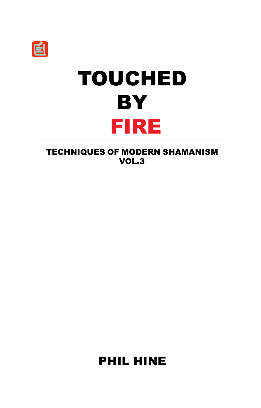# TOUCHED **BY** FIRE

TECHNIQUES OF MODERN SHAMANISM VOL.3

PHIL HINE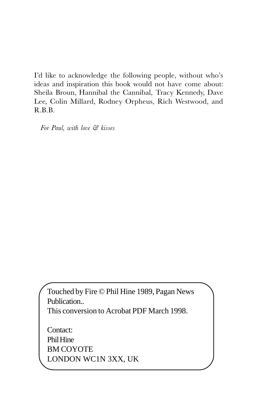I'd like to acknowledge the following people, without who's ideas and inspiration this book would not have come about: Sheila Broun, Hannibal the Cannibal, Tracy Kennedy, Dave Lee, Colin Millard, Rodney Orpheus, Rich Westwood, and R.B.B.

For Paul, with love & kisses

Touched by Fire © Phil Hine 1989, Pagan News Publication.. This conversion to Acrobat PDF March 1998.

Contact: Phil Hine BM COYOTE LONDON WC1N 3XX, UK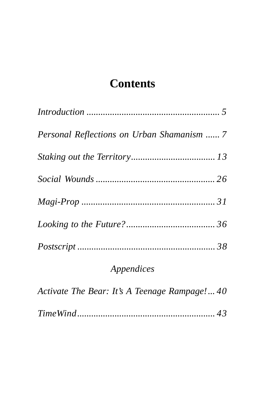# **[Contents](#page-30-0)**

| Personal Reflections on Urban Shamanism  7 |  |
|--------------------------------------------|--|
|                                            |  |
|                                            |  |
|                                            |  |
|                                            |  |
|                                            |  |

# *Appendices*

*Activate The Bear: It's A Teenage Rampage!... 40*

*TimeWind........................................................... 43*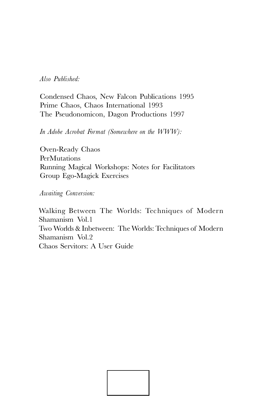#### Also Published:

Condensed Chaos, New Falcon Publications 1995 Prime Chaos, Chaos International 1993 The Pseudonomicon, Dagon Productions 1997

In Adobe Acrobat Format (Somewhere on the WWW):

Oven-Ready Chaos **PerMutations** Running Magical Workshops: Notes for Facilitators Group Ego-Magick Exercises

Awaiting Conversion:

Walking Between The Worlds: Techniques of Modern Shamanism Vol.1 Two Worlds & Inbetween: The Worlds: Techniques of Modern Shamanism Vol.2 Chaos Servitors: A User Guide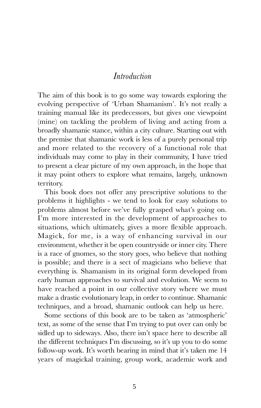#### Introduction

The aim of this book is to go some way towards exploring the evolving perspective of 'Urban Shamanism'. It's not really a training manual like its predecessors, but gives one viewpoint (mine) on tackling the problem of living and acting from a broadly shamanic stance, within a city culture. Starting out with the premise that shamanic work is less of a purely personal trip and more related to the recovery of a functional role that individuals may come to play in their community, I have tried to present a clear picture of my own approach, in the hope that it may point others to explore what remains, largely, unknown territory.

This book does not offer any prescriptive solutions to the problems it highlights - we tend to look for easy solutions to problems almost before we've fully grasped what's going on. Im more interested in the development of approaches to situations, which ultimately, gives a more flexible approach. Magick, for me, is a way of enhancing survival in our environment, whether it be open countryside or inner city. There is a race of gnomes, so the story goes, who believe that nothing is possible; and there is a sect of magicians who believe that everything is. Shamanism in its original form developed from early human approaches to survival and evolution. We seem to have reached a point in our collective story where we must make a drastic evolutionary leap, in order to continue. Shamanic techniques, and a broad, shamanic outlook can help us here.

Some sections of this book are to be taken as 'atmospheric' text, as some of the sense that Im trying to put over can only be sidled up to sideways. Also, there isn't space here to describe all the different techniques I'm discussing, so it's up you to do some follow-up work. It's worth bearing in mind that it's taken me 14 years of magickal training, group work, academic work and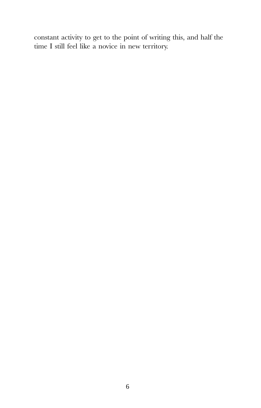constant activity to get to the point of writing this, and half the time I still feel like a novice in new territory.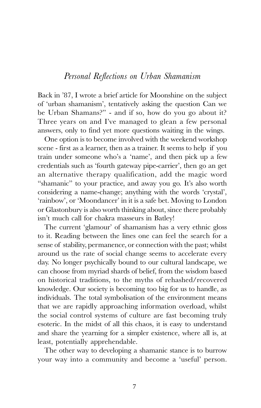#### Personal Reflections on Urban Shamanism

Back in '87, I wrote a brief article for Moonshine on the subject of 'urban shamanism', tentatively asking the question Can we be Urban Shamans?" - and if so, how do you go about it? Three years on and Ive managed to glean a few personal answers, only to find yet more questions waiting in the wings.

One option is to become involved with the weekend workshop scene - first as a learner, then as a trainer. It seems to help if you train under someone who's a 'name', and then pick up a few credentials such as fourth gateway pipe-carrier, then go an get an alternative therapy qualification, add the magic word "shamanic" to your practice, and away you go. It's also worth considering a name-change; anything with the words 'crystal', 'rainbow', or 'Moondancer' in it is a safe bet. Moving to London or Glastonbury is also worth thinking about, since there probably isn't much call for chakra masseurs in Batley!

The current 'glamour' of shamanism has a very ethnic gloss to it. Reading between the lines one can feel the search for a sense of stability, permanence, or connection with the past; whilst around us the rate of social change seems to accelerate every day. No longer psychically bound to our cultural landscape, we can choose from myriad shards of belief, from the wisdom based on historical traditions, to the myths of rehashed/recovered knowledge. Our society is becoming too big for us to handle, as individuals. The total symbolisation of the environment means that we are rapidly approaching information overload, whilst the social control systems of culture are fast becoming truly esoteric. In the midst of all this chaos, it is easy to understand and share the yearning for a simpler existence, where all is, at least, potentially apprehendable.

The other way to developing a shamanic stance is to burrow your way into a community and become a 'useful' person.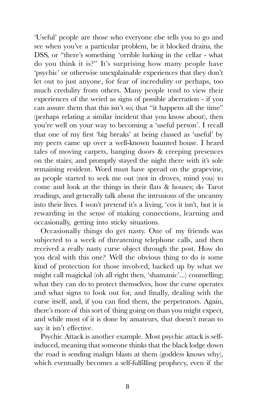Useful' people are those who everyone else tells you to go and see when you've a particular problem, be it blocked drains, the DSS, or "there's something 'orrible lurking in the cellar - what do you think it is?" It's surprising how many people have 'psychic' or otherwise unexplainable experiences that they don't let out to just anyone, for fear of incredulity or perhaps, too much credulity from others. Many people tend to view their experiences of the weird as signs of possible aberration - if you can assure them that this isn't so; that "it happens all the time" (perhaps relating a similar incident that you know about), then you're well on your way to becoming a 'useful person'. I recall that one of my first 'big breaks' at being classed as 'useful' by my peers came up over a well-known haunted house. I heard tales of moving carpets, banging doors & creeping presences on the stairs; and promptly stayed the night there with it's sole remaining resident. Word must have spread on the grapevine, as people started to seek me out (not in droves, mind you) to come and look at the things in their flats & houses; do Tarot readings, and generally talk about the intrusions of the uncanny into their lives. I won't pretend it's a living, 'cos it isn't, but it is rewarding in the sense of making connections, learning and occasionally, getting into sticky situations.

Occasionally things do get nasty. One of my friends was subjected to a week of threatening telephone calls, and then received a really nasty curse object through the post. How do you deal with this one? Well the obvious thing to do is some kind of protection for those involved, backed up by what we might call magickal (oh all right then, 'shamanic'...) counselling; what they can do to protect themselves, how the curse operates and what signs to look out for, and finally, dealing with the curse itself, and, if you can find them, the perpetrators. Again, there's more of this sort of thing going on than you might expect, and while most of it is done by amateurs, that doesn't mean to say it isn't effective.

Psychic Attack is another example. Most psychic attack is selfinduced, meaning that someone thinks that the black lodge down the road is sending malign blasts at them (goddess knows why), which eventually becomes a self-fulfilling prophecy, even if the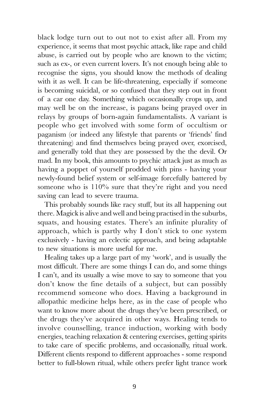black lodge turn out to out not to exist after all. From my experience, it seems that most psychic attack, like rape and child abuse, is carried out by people who are known to the victim; such as ex-, or even current lovers. It's not enough being able to recognise the signs, you should know the methods of dealing with it as well. It can be life-threatening, especially if someone is becoming suicidal, or so confused that they step out in front of a car one day. Something which occasionally crops up, and may well be on the increase, is pagans being prayed over in relays by groups of born-again fundamentalists. A variant is people who get involved with some form of occultism or paganism (or indeed any lifestyle that parents or 'friends' find threatening) and find themselves being prayed over, exorcised, and generally told that they are possessed by the the devil. Or mad. In my book, this amounts to psychic attack just as much as having a poppet of yourself prodded with pins - having your newly-found belief system or self-image forcefully battered by someone who is  $110\%$  sure that they're right and you need saving can lead to severe trauma.

This probably sounds like racy stuff, but its all happening out there. Magick is alive and well and being practised in the suburbs, squats, and housing estates. There's an infinite plurality of approach, which is partly why I don't stick to one system exclusively - having an eclectic approach, and being adaptable to new situations is more useful for me.

Healing takes up a large part of my 'work', and is usually the most difficult. There are some things I can do, and some things I can't, and its usually a wise move to say to someone that you don't know the fine details of a subject, but can possibly recommend someone who does. Having a background in allopathic medicine helps here, as in the case of people who want to know more about the drugs they've been prescribed, or the drugs they've acquired in other ways. Healing tends to involve counselling, trance induction, working with body energies, teaching relaxation & centering exercises, getting spirits to take care of specific problems, and occasionally, ritual work. Different clients respond to different approaches - some respond better to full-blown ritual, while others prefer light trance work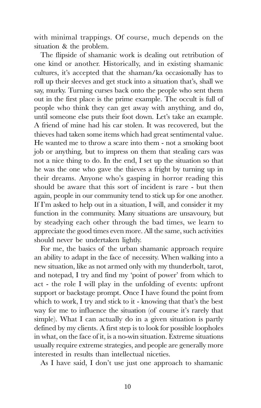with minimal trappings. Of course, much depends on the situation & the problem.

The flipside of shamanic work is dealing out retribution of one kind or another. Historically, and in existing shamanic cultures, it's accepted that the shaman/ka occasionally has to roll up their sleeves and get stuck into a situation that's, shall we say, murky. Turning curses back onto the people who sent them out in the first place is the prime example. The occult is full of people who think they can get away with anything, and do, until someone else puts their foot down. Let's take an example. A friend of mine had his car stolen. It was recovered, but the thieves had taken some items which had great sentimental value. He wanted me to throw a scare into them - not a smoking boot job or anything, but to impress on them that stealing cars was not a nice thing to do. In the end, I set up the situation so that he was the one who gave the thieves a fright by turning up in their dreams. Anyone who's gasping in horror reading this should be aware that this sort of incident is rare - but then again, people in our community tend to stick up for one another. If I'm asked to help out in a situation, I will, and consider it my function in the community. Many situations are unsavoury, but by steadying each other through the bad times, we learn to appreciate the good times even more. All the same, such activities should never be undertaken lightly.

For me, the basics of the urban shamanic approach require an ability to adapt in the face of necessity. When walking into a new situation, like as not armed only with my thunderbolt, tarot, and notepad, I try and find my 'point of power' from which to act - the role I will play in the unfolding of events: upfront support or backstage prompt. Once I have found the point from which to work, I try and stick to it - knowing that that's the best way for me to influence the situation (of course it's rarely that simple). What I can actually do in a given situation is partly defined by my clients. A first step is to look for possible loopholes in what, on the face of it, is a no-win situation. Extreme situations usually require extreme strategies, and people are generally more interested in results than intellectual niceties.

As I have said, I don't use just one approach to shamanic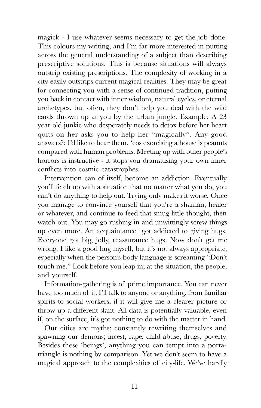magick - I use whatever seems necessary to get the job done. This colours my writing, and I'm far more interested in putting across the general understanding of a subject than describing prescriptive solutions. This is because situations will always outstrip existing prescriptions. The complexity of working in a city easily outstrips current magical realities. They may be great for connecting you with a sense of continued tradition, putting you back in contact with inner wisdom, natural cycles, or eternal archetypes, but often, they don't help you deal with the wild cards thrown up at you by the urban jungle. Example: A 23 year old junkie who desperately needs to detox before her heart quits on her asks you to help her "magically". Any good answers?; I'd like to hear them, 'cos exorcising a house is peanuts compared with human problems. Meeting up with other people's horrors is instructive - it stops you dramatising your own inner conflicts into cosmic catastrophes.

Intervention can of itself, become an addiction. Eventually you'll fetch up with a situation that no matter what you do, you can't do anything to help out. Trying only makes it worse. Once you manage to convince yourself that youre a shaman, healer or whatever, and continue to feed that smug little thought, then watch out. You may go rushing in and unwittingly screw things up even more. An acquaintance got addicted to giving hugs. Everyone got big, jolly, reassurance hugs. Now don't get me wrong, I like a good hug myself, but it's not always appropriate, especially when the person's body language is screaming "Don't touch me." Look before you leap in; at the situation, the people, and yourself.

Information-gathering is of prime importance. You can never have too much of it. I'll talk to anyone or anything, from familiar spirits to social workers, if it will give me a clearer picture or throw up a different slant. All data is potentially valuable, even if, on the surface, it's got nothing to do with the matter in hand.

Our cities are myths; constantly rewriting themselves and spawning our demons; incest, rape, child abuse, drugs, poverty. Besides these 'beings', anything you can tempt into a portatriangle is nothing by comparison. Yet we don't seem to have a magical approach to the complexities of city-life. We've hardly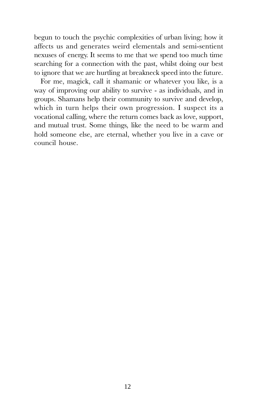begun to touch the psychic complexities of urban living; how it affects us and generates weird elementals and semi-sentient nexuses of energy. It seems to me that we spend too much time searching for a connection with the past, whilst doing our best to ignore that we are hurtling at breakneck speed into the future.

For me, magick, call it shamanic or whatever you like, is a way of improving our ability to survive - as individuals, and in groups. Shamans help their community to survive and develop, which in turn helps their own progression. I suspect its a vocational calling, where the return comes back as love, support, and mutual trust. Some things, like the need to be warm and hold someone else, are eternal, whether you live in a cave or council house.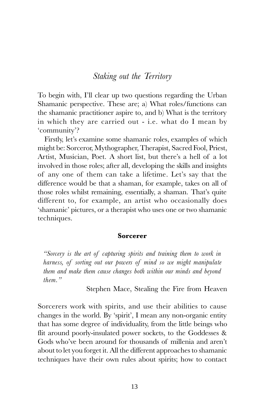## Staking out the Territory

To begin with, Ill clear up two questions regarding the Urban Shamanic perspective. These are; a) What roles/functions can the shamanic practitioner aspire to, and b) What is the territory in which they are carried out - i.e. what do I mean by community?

Firstly, let's examine some shamanic roles, examples of which might be: Sorceror, Mythographer, Therapist, Sacred Fool, Priest, Artist, Musician, Poet. A short list, but there's a hell of a lot involved in those roles; after all, developing the skills and insights of any one of them can take a lifetime. Let's say that the difference would be that a shaman, for example, takes on all of those roles whilst remaining, essentially, a shaman. That's quite different to, for example, an artist who occasionally does 'shamanic' pictures, or a therapist who uses one or two shamanic techniques.

#### Sorcerer

Sorcery is the art of capturing spirits and training them to work in harness, of sorting out our powers of mind so we might manipulate them and make them cause changes both within our minds and beyond  $then$  "

Stephen Mace, Stealing the Fire from Heaven

Sorcerers work with spirits, and use their abilities to cause changes in the world. By 'spirit', I mean any non-organic entity that has some degree of individuality, from the little beings who flit around poorly-insulated power sockets, to the Goddesses & Gods who've been around for thousands of millenia and aren't about to let you forget it. All the different approaches to shamanic techniques have their own rules about spirits; how to contact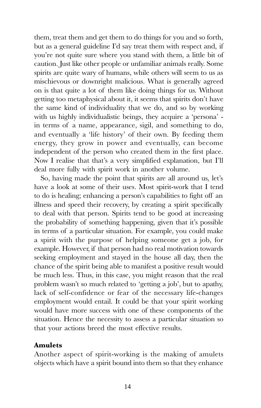them, treat them and get them to do things for you and so forth, but as a general guideline I'd say treat them with respect and, if you're not quite sure where you stand with them, a little bit of caution. Just like other people or unfamiliar animals really. Some spirits are quite wary of humans, while others will seem to us as mischievous or downright malicious. What is generally agreed on is that quite a lot of them like doing things for us. Without getting too metaphysical about it, it seems that spirits don't have the same kind of individuality that we do, and so by working with us highly individualistic beings, they acquire a 'persona' in terms of a name, appearance, sigil, and something to do, and eventually a 'life history' of their own. By feeding them energy, they grow in power and eventually, can become independent of the person who created them in the first place. Now I realise that that's a very simplified explanation, but I'll deal more fully with spirit work in another volume.

So, having made the point that spirits are all around us, let's have a look at some of their uses. Most spirit-work that I tend to do is healing; enhancing a person's capabilities to fight off an illness and speed their recovery, by creating a spirit specifically to deal with that person. Spirits tend to be good at increasing the probability of something happening, given that it's possible in terms of a particular situation. For example, you could make a spirit with the purpose of helping someone get a job, for example. However, if that person had no real motivation towards seeking employment and stayed in the house all day, then the chance of the spirit being able to manifest a positive result would be much less. Thus, in this case, you might reason that the real problem wasn't so much related to 'getting a job', but to apathy, lack of self-confidence or fear of the necessary life-changes employment would entail. It could be that your spirit working would have more success with one of these components of the situation. Hence the necessity to assess a particular situation so that your actions breed the most effective results.

#### Amulets

Another aspect of spirit-working is the making of amulets objects which have a spirit bound into them so that they enhance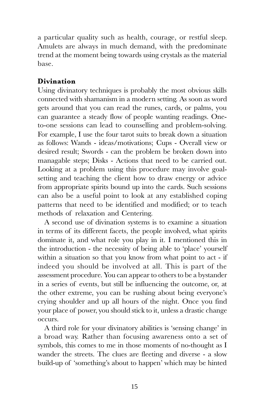a particular quality such as health, courage, or restful sleep. Amulets are always in much demand, with the predominate trend at the moment being towards using crystals as the material base.

#### Divination

Using divinatory techniques is probably the most obvious skills connected with shamanism in a modern setting. As soon as word gets around that you can read the runes, cards, or palms, you can guarantee a steady flow of people wanting readings. Oneto-one sessions can lead to counselling and problem-solving. For example, I use the four tarot suits to break down a situation as follows: Wands - ideas/motivations; Cups - Overall view or desired result; Swords - can the problem be broken down into managable steps; Disks - Actions that need to be carried out. Looking at a problem using this procedure may involve goalsetting and teaching the client how to draw energy or advice from appropriate spirits bound up into the cards. Such sessions can also be a useful point to look at any established coping patterns that need to be identified and modified; or to teach methods of relaxation and Centering.

A second use of divination systems is to examine a situation in terms of its different facets, the people involved, what spirits dominate it, and what role you play in it. I mentioned this in the introduction - the necessity of being able to 'place' yourself within a situation so that you know from what point to act - if indeed you should be involved at all. This is part of the assessment procedure. You can appear to others to be a bystander in a series of events, but still be influencing the outcome, or, at the other extreme, you can be rushing about being everyone's crying shoulder and up all hours of the night. Once you find your place of power, you should stick to it, unless a drastic change occurs.

A third role for your divinatory abilities is 'sensing change' in a broad way. Rather than focusing awareness onto a set of symbols, this comes to me in those moments of no-thought as I wander the streets. The clues are fleeting and diverse - a slow build-up of 'something's about to happen' which may be hinted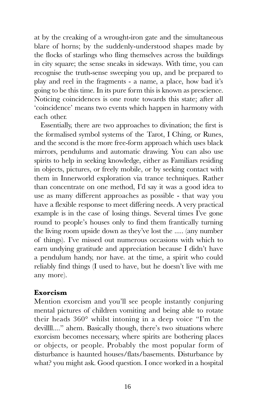at by the creaking of a wrought-iron gate and the simultaneous blare of horns; by the suddenly-understood shapes made by the flocks of starlings who fling themselves across the buildings in city square; the sense sneaks in sideways. With time, you can recognise the truth-sense sweeping you up, and be prepared to play and reel in the fragments - a name, a place, how bad it's going to be this time. In its pure form this is known as prescience. Noticing coincidences is one route towards this state; after all 'coincidence' means two events which happen in harmony with each other.

Essentially, there are two approaches to divination; the first is the formalised symbol systems of the Tarot, I Ching, or Runes, and the second is the more free-form approach which uses black mirrors, pendulums and automatic drawing. You can also use spirits to help in seeking knowledge, either as Familiars residing in objects, pictures, or freely mobile, or by seeking contact with them in Innerworld exploration via trance techniques. Rather than concentrate on one method, Id say it was a good idea to use as many different approaches as possible - that way you have a flexible response to meet differing needs. A very practical example is in the case of losing things. Several times Ive gone round to people's houses only to find them frantically turning the living room upside down as they've lost the ..... (any number of things). Ive missed out numerous occasions with which to earn undying gratitude and appreciation because I didn't have a pendulum handy, nor have. at the time, a spirit who could reliably find things (I used to have, but he doesn't live with me any more).

#### Exorcism

Mention exorcism and you'll see people instantly conjuring mental pictures of children vomiting and being able to rotate their heads  $360^\circ$  whilst intoning in a deep voice "I'm the devilll...." ahem. Basically though, there's two situations where exorcism becomes necessary, where spirits are bothering places or objects, or people. Probably the most popular form of disturbance is haunted houses/flats/basements. Disturbance by what? you might ask. Good question. I once worked in a hospital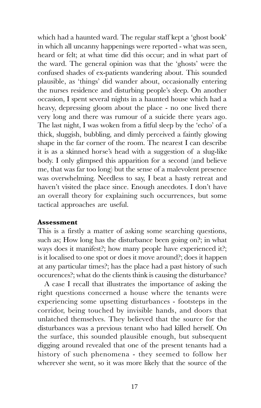which had a haunted ward. The regular staff kept a 'ghost book' in which all uncanny happenings were reported - what was seen, heard or felt; at what time did this occur; and in what part of the ward. The general opinion was that the 'ghosts' were the confused shades of ex-patients wandering about. This sounded plausible, as 'things' did wander about, occasionally entering the nurses residence and disturbing people's sleep. On another occasion, I spent several nights in a haunted house which had a heavy, depressing gloom about the place - no one lived there very long and there was rumour of a suicide there years ago. The last night, I was woken from a fitful sleep by the 'echo' of a thick, sluggish, bubbling, and dimly perceived a faintly glowing shape in the far corner of the room. The nearest I can describe it is as a skinned horse's head with a suggestion of a slug-like body. I only glimpsed this apparition for a second (and believe me, that was far too long) but the sense of a malevolent presence was overwhelming. Needless to say, I beat a hasty retreat and haven't visited the place since. Enough anecdotes. I don't have an overall theory for explaining such occurrences, but some tactical approaches are useful.

#### Assessment

This is a firstly a matter of asking some searching questions, such as; How long has the disturbance been going on?; in what ways does it manifest?; how many people have experienced it?; is it localised to one spot or does it move around?; does it happen at any particular times?; has the place had a past history of such occurences?; what do the clients think is causing the disturbance?

A case I recall that illustrates the importance of asking the right questions concerned a house where the tenants were experiencing some upsetting disturbances - footsteps in the corridor, being touched by invisible hands, and doors that unlatched themselves. They believed that the source for the disturbances was a previous tenant who had killed herself. On the surface, this sounded plausible enough, but subsequent digging around revealed that one of the present tenants had a history of such phenomena - they seemed to follow her wherever she went, so it was more likely that the source of the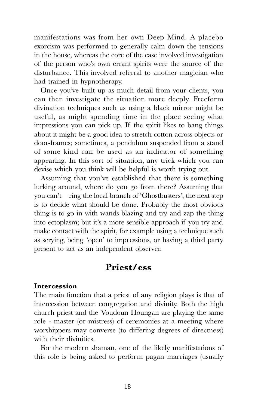manifestations was from her own Deep Mind. A placebo exorcism was performed to generally calm down the tensions in the house, whereas the core of the case involved investigation of the person who's own errant spirits were the source of the disturbance. This involved referral to another magician who had trained in hypnotherapy.

Once you've built up as much detail from your clients, you can then investigate the situation more deeply. Freeform divination techniques such as using a black mirror might be useful, as might spending time in the place seeing what impressions you can pick up. If the spirit likes to bang things about it might be a good idea to stretch cotton across objects or door-frames; sometimes, a pendulum suspended from a stand of some kind can be used as an indicator of something appearing. In this sort of situation, any trick which you can devise which you think will be helpful is worth trying out.

Assuming that you've established that there is something lurking around, where do you go from there? Assuming that you can't ring the local branch of 'Ghostbusters', the next step is to decide what should be done. Probably the most obvious thing is to go in with wands blazing and try and zap the thing into ectoplasm; but it's a more sensible approach if you try and make contact with the spirit, for example using a technique such as scrying, being 'open' to impressions, or having a third party present to act as an independent observer.

## Priest/ess

#### Intercession

The main function that a priest of any religion plays is that of intercession between congregation and divinity. Both the high church priest and the Voudoun Houngan are playing the same role - master (or mistress) of ceremonies at a meeting where worshippers may converse (to differing degrees of directness) with their divinities.

For the modern shaman, one of the likely manifestations of this role is being asked to perform pagan marriages (usually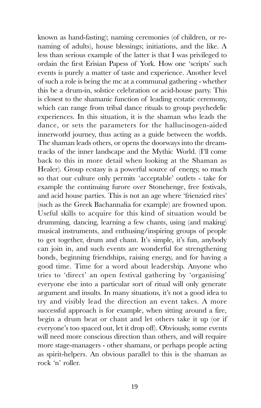known as hand-fasting); naming ceremonies (of children, or renaming of adults), house blessings; initiations, and the like. A less than serious example of the latter is that I was privileged to ordain the first Erisian Papess of York. How one 'scripts' such events is purely a matter of taste and experience. Another level of such a role is being the mc at a communal gathering - whether this be a drum-in, solstice celebration or acid-house party. This is closest to the shamanic function of leading ecstatic ceremony, which can range from tribal dance rituals to group psychedelic experiences. In this situation, it is the shaman who leads the dance, or sets the parameters for the hallucinogen-aided innerworld journey, thus acting as a guide between the worlds. The shaman leads others, or opens the doorways into the dreamtracks of the inner landscape and the Mythic World. (Ill come back to this in more detail when looking at the Shaman as Healer). Group ecstasy is a powerful source of energy, so much so that our culture only permits 'acceptable' outlets - take for example the continuing furore over Stonehenge, free festivals, and acid house parties. This is not an age where frienzied rites (such as the Greek Bachannalia for example) are frowned upon. Useful skills to acquire for this kind of situation would be drumming, dancing, learning a few chants, using (and making) musical instruments, and enthusing/inspiring groups of people to get together, drum and chant. It's simple, it's fun, anybody can join in, and such events are wonderful for strengthening bonds, beginning friendships, raising energy, and for having a good time. Time for a word about leadership. Anyone who tries to 'direct' an open festival gathering by 'organising' everyone else into a particular sort of ritual will only generate argument and insults. In many situations, it's not a good idea to try and visibly lead the direction an event takes. A more successful approach is for example, when sitting around a fire, begin a drum beat or chant and let others take it up (or if everyone's too spaced out, let it drop off). Obviously, some events will need more conscious direction than others, and will require more stage-managers - other shamans, or perhaps people acting as spirit-helpers. An obvious parallel to this is the shaman as rock 'n' roller.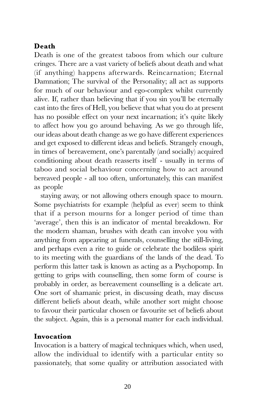#### Death

Death is one of the greatest taboos from which our culture cringes. There are a vast variety of beliefs about death and what (if anything) happens afterwards. Reincarnation; Eternal Damnation; The survival of the Personality; all act as supports for much of our behaviour and ego-complex whilst currently alive. If, rather than believing that if you sin youll be eternally cast into the fires of Hell, you believe that what you do at present has no possible effect on your next incarnation; it's quite likely to affect how you go around behaving. As we go through life, our ideas about death change as we go have different experiences and get exposed to different ideas and beliefs. Strangely enough, in times of bereavement, one's parentally (and socially) acquired conditioning about death reasserts itself - usually in terms of taboo and social behaviour concerning how to act around bereaved people - all too often, unfortunately, this can manifest as people

staying away, or not allowing others enough space to mourn. Some psychiatrists for example (helpful as ever) seem to think that if a person mourns for a longer period of time than 'average', then this is an indicator of mental breakdown. For the modern shaman, brushes with death can involve you with anything from appearing at funerals, counselling the still-living, and perhaps even a rite to guide or celebrate the bodiless spirit to its meeting with the guardians of the lands of the dead. To perform this latter task is known as acting as a Psychopomp. In getting to grips with counselling, then some form of course is probably in order, as bereavement counselling is a delicate art. One sort of shamanic priest, in discussing death, may discuss different beliefs about death, while another sort might choose to favour their particular chosen or favourite set of beliefs about the subject. Again, this is a personal matter for each individual.

#### Invocation

Invocation is a battery of magical techniques which, when used, allow the individual to identify with a particular entity so passionately, that some quality or attribution associated with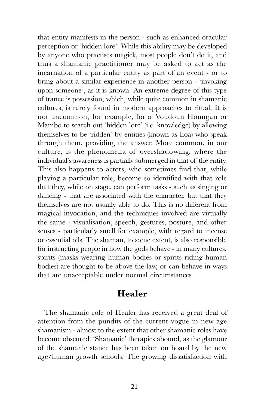that entity manifests in the person - such as enhanced oracular perception or 'hidden lore'. While this ability may be developed by anyone who practises magick, most people don't do it, and thus a shamanic practitioner may be asked to act as the incarnation of a particular entity as part of an event - or to bring about a similar experience in another person - invoking upon someone', as it is known. An extreme degree of this type of trance is possession, which, while quite common in shamanic cultures, is rarely found in modern approaches to ritual. It is not uncommon, for example, for a Voudoun Houngan or Mambo to search out 'hidden lore' (i.e. knowledge) by allowing themselves to be 'ridden' by entities (known as Loa) who speak through them, providing the answer. More common, in our culture, is the phenomena of overshadowing, where the individual's awareness is partially submerged in that of the entity. This also happens to actors, who sometimes find that, while playing a particular role, become so identified with that role that they, while on stage, can perform tasks - such as singing or dancing - that are associated with the character, but that they themselves are not usually able to do. This is no different from magical invocation, and the techniques involved are virtually the same - visualisation, speech, gestures, posture, and other senses - particularly smell for example, with regard to incense or essential oils. The shaman, to some extent, is also responsible for instructing people in how the gods behave - in many cultures, spirits (masks wearing human bodies or spirits riding human bodies) are thought to be above the law, or can behave in ways that are unacceptable under normal circumstances.

# Healer

The shamanic role of Healer has received a great deal of attention from the pundits of the current vogue in new age shamanism - almost to the extent that other shamanic roles have become obscured. 'Shamanic' therapies abound, as the glamour of the shamanic stance has been taken on board by the new age/human growth schools. The growing dissatisfaction with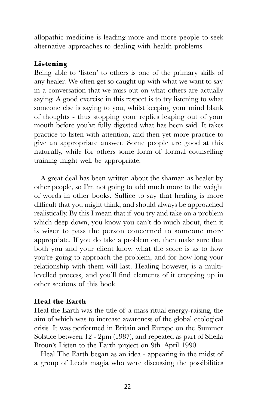allopathic medicine is leading more and more people to seek alternative approaches to dealing with health problems.

#### Listening

Being able to 'listen' to others is one of the primary skills of any healer. We often get so caught up with what we want to say in a conversation that we miss out on what others are actually saying. A good exercise in this respect is to try listening to what someone else is saying to you, whilst keeping your mind blank of thoughts - thus stopping your replies leaping out of your mouth before you've fully digested what has been said. It takes practice to listen with attention, and then yet more practice to give an appropriate answer. Some people are good at this naturally, while for others some form of formal counselling training might well be appropriate.

A great deal has been written about the shaman as healer by other people, so Im not going to add much more to the weight of words in other books. Suffice to say that healing is more difficult that you might think, and should always be approached realistically. By this I mean that if you try and take on a problem which deep down, you know you can't do much about, then it is wiser to pass the person concerned to someone more appropriate. If you do take a problem on, then make sure that both you and your client know what the score is as to how you're going to approach the problem, and for how long your relationship with them will last. Healing however, is a multilevelled process, and you'll find elements of it cropping up in other sections of this book.

#### Heal the Earth

Heal the Earth was the title of a mass ritual energy-raising, the aim of which was to increase awareness of the global ecological crisis. It was performed in Britain and Europe on the Summer Solstice between 12 - 2pm (1987), and repeated as part of Sheila Broun's Listen to the Earth project on 9th April 1990.

Heal The Earth began as an idea - appearing in the midst of a group of Leeds magia who were discussing the possibilities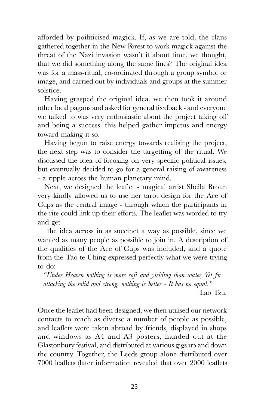afforded by poiliticised magick. If, as we are told, the clans gathered together in the New Forest to work magick against the threat of the Nazi invasion wasn't it about time, we thought, that we did something along the same lines? The original idea was for a mass-ritual, co-ordinated through a group symbol or image, and carried out by individuals and groups at the summer solstice.

Having grasped the original idea, we then took it around other local pagans and asked for general feedback - and everyone we talked to was very enthusiastic about the project taking off and being a success. this helped gather impetus and energy toward making it so.

Having begun to raise energy towards realising the project, the next step was to consider the targetting of the ritual. We discussed the idea of focusing on very specific political issues, but eventually decided to go for a general raising of awareness - a ripple across the human planetary mind.

Next, we designed the leaflet - magical artist Sheila Broun very kindly allowed us to use her tarot design for the Ace of Cups as the central image - through which the participants in the rite could link up their efforts. The leaflet was worded to try and get

 the idea across in as succinct a way as possible, since we wanted as many people as possible to join in. A description of the qualities of the Ace of Cups was included, and a quote from the Tao te Ching expressed perfectly what we were trying to do:

Under Heaven nothing is more soft and yielding than water, Yet for attacking the solid and strong, nothing is better - It has no equal. Lao Tzu.

Once the leaflet had been designed, we then utilised our network contacts to reach as diverse a number of people as possible, and leaflets were taken abroad by friends, displayed in shops and windows as A4 and A3 posters, handed out at the Glastonbury festival, and distributed at various gigs up and down the country. Together, the Leeds group alone distributed over 7000 leaflets (later information revealed that over 2000 leaflets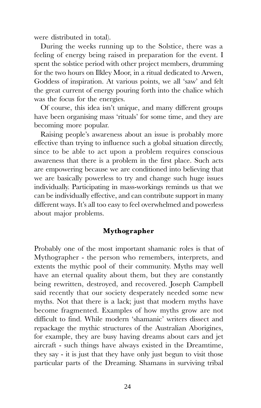were distributed in total).

During the weeks running up to the Solstice, there was a feeling of energy being raised in preparation for the event. I spent the solstice period with other project members, drumming for the two hours on Ilkley Moor, in a ritual dedicated to Arwen, Goddess of inspiration. At various points, we all 'saw' and felt the great current of energy pouring forth into the chalice which was the focus for the energies.

Of course, this idea isn't unique, and many different groups have been organising mass 'rituals' for some time, and they are becoming more popular.

Raising people's awareness about an issue is probably more effective than trying to influence such a global situation directly, since to be able to act upon a problem requires conscious awareness that there is a problem in the first place. Such acts are empowering because we are conditioned into believing that we are basically powerless to try and change such huge issues individually. Participating in mass-workings reminds us that we can be individually effective, and can contribute support in many different ways. It's all too easy to feel overwhelmed and powerless about major problems.

#### Mythographer

Probably one of the most important shamanic roles is that of Mythographer - the person who remembers, interprets, and extents the mythic pool of their community. Myths may well have an eternal quality about them, but they are constantly being rewritten, destroyed, and recovered. Joseph Campbell said recently that our society desperately needed some new myths. Not that there is a lack; just that modern myths have become fragmented. Examples of how myths grow are not difficult to find. While modern 'shamanic' writers dissect and repackage the mythic structures of the Australian Aborigines, for example, they are busy having dreams about cars and jet aircraft - such things have always existed in the Dreamtime, they say - it is just that they have only just begun to visit those particular parts of the Dreaming. Shamans in surviving tribal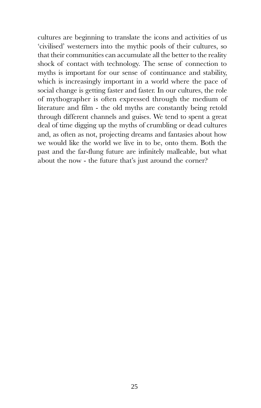cultures are beginning to translate the icons and activities of us 'civilised' westerners into the mythic pools of their cultures, so that their communities can accumulate all the better to the reality shock of contact with technology. The sense of connection to myths is important for our sense of continuance and stability, which is increasingly important in a world where the pace of social change is getting faster and faster. In our cultures, the role of mythographer is often expressed through the medium of literature and film - the old myths are constantly being retold through different channels and guises. We tend to spent a great deal of time digging up the myths of crumbling or dead cultures and, as often as not, projecting dreams and fantasies about how we would like the world we live in to be, onto them. Both the past and the far-flung future are infinitely malleable, but what about the now - the future that's just around the corner?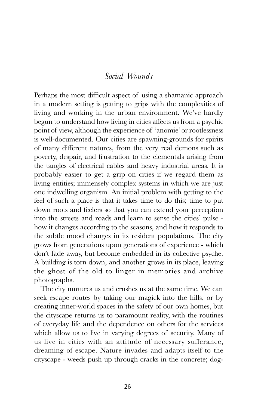#### Social Wounds

Perhaps the most difficult aspect of using a shamanic approach in a modern setting is getting to grips with the complexities of living and working in the urban environment. We've hardly begun to understand how living in cities affects us from a psychic point of view, although the experience of 'anomie' or rootlessness is well-documented. Our cities are spawning-grounds for spirits of many different natures, from the very real demons such as poverty, despair, and frustration to the elementals arising from the tangles of electrical cables and heavy industrial areas. It is probably easier to get a grip on cities if we regard them as living entities; immensely complex systems in which we are just one indwelling organism. An initial problem with getting to the feel of such a place is that it takes time to do this; time to put down roots and feelers so that you can extend your perception into the streets and roads and learn to sense the cities' pulse how it changes according to the seasons, and how it responds to the subtle mood changes in its resident populations. The city grows from generations upon generations of experience - which don't fade away, but become embedded in its collective psyche. A building is torn down, and another grows in its place, leaving the ghost of the old to linger in memories and archive photographs.

The city nurtures us and crushes us at the same time. We can seek escape routes by taking our magick into the hills, or by creating inner-world spaces in the safety of our own homes, but the cityscape returns us to paramount reality, with the routines of everyday life and the dependence on others for the services which allow us to live in varying degrees of security. Many of us live in cities with an attitude of necessary sufferance, dreaming of escape. Nature invades and adapts itself to the cityscape - weeds push up through cracks in the concrete; dog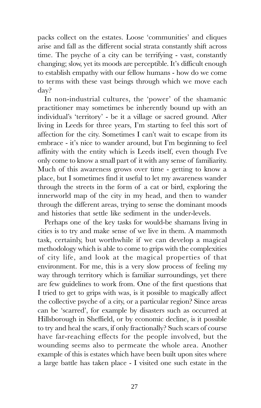packs collect on the estates. Loose 'communities' and cliques arise and fall as the different social strata constantly shift across time. The psyche of a city can be terrifying - vast, constantly changing; slow, yet its moods are perceptible. It's difficult enough to establish empathy with our fellow humans - how do we come to terms with these vast beings through which we move each day?

In non-industrial cultures, the 'power' of the shamanic practitioner may sometimes be inherently bound up with an individual's 'territory' - be it a village or sacred ground. After living in Leeds for three years, Im starting to feel this sort of affection for the city. Sometimes I can't wait to escape from its embrace - it's nice to wander around, but I'm beginning to feel affinity with the entity which is Leeds itself, even though Ive only come to know a small part of it with any sense of familiarity. Much of this awareness grows over time - getting to know a place, but I sometimes find it useful to let my awareness wander through the streets in the form of a cat or bird, exploring the innerworld map of the city in my head, and then to wander through the different areas, trying to sense the dominant moods and histories that settle like sediment in the under-levels.

Perhaps one of the key tasks for would-be shamans living in cities is to try and make sense of we live in them. A mammoth task, certainly, but worthwhile if we can develop a magical methodology which is able to come to grips with the complexities of city life, and look at the magical properties of that environment. For me, this is a very slow process of feeling my way through territory which is familiar surroundings, yet there are few guidelines to work from. One of the first questions that I tried to get to grips with was, is it possible to magically affect the collective psyche of a city, or a particular region? Since areas can be 'scarred', for example by disasters such as occurred at Hillsborough in Sheffield, or by economic decline, is it possible to try and heal the scars, if only fractionally? Such scars of course have far-reaching effects for the people involved, but the wounding seems also to permeate the whole area. Another example of this is estates which have been built upon sites where a large battle has taken place - I visited one such estate in the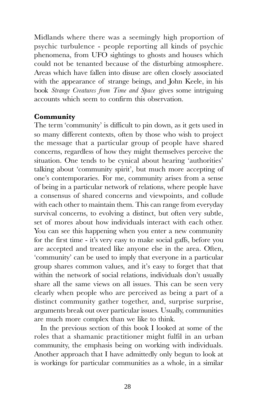Midlands where there was a seemingly high proportion of psychic turbulence - people reporting all kinds of psychic phenomena, from UFO sightings to ghosts and houses which could not be tenanted because of the disturbing atmosphere. Areas which have fallen into disuse are often closely associated with the appearance of strange beings, and John Keele, in his book Strange Creatures from Time and Space gives some intriguing accounts which seem to confirm this observation.

#### Community

The term 'community' is difficult to pin down, as it gets used in so many different contexts, often by those who wish to project the message that a particular group of people have shared concerns, regardless of how they might themselves perceive the situation. One tends to be cynical about hearing 'authorities' talking about 'community spirit', but much more accepting of one's contemporaries. For me, community arises from a sense of being in a particular network of relations, where people have a consensus of shared concerns and viewpoints, and collude with each other to maintain them. This can range from everyday survival concerns, to evolving a distinct, but often very subtle, set of mores about how individuals interact with each other. You can see this happening when you enter a new community for the first time - it's very easy to make social gaffs, before you are accepted and treated like anyone else in the area. Often, community can be used to imply that everyone in a particular group shares common values, and it's easy to forget that that within the network of social relations, individuals don't usually share all the same views on all issues. This can be seen very clearly when people who are perceived as being a part of a distinct community gather together, and, surprise surprise, arguments break out over particular issues. Usually, communities are much more complex than we like to think.

In the previous section of this book I looked at some of the roles that a shamanic practitioner might fulfil in an urban community, the emphasis being on working with individuals. Another approach that I have admittedly only begun to look at is workings for particular communities as a whole, in a similar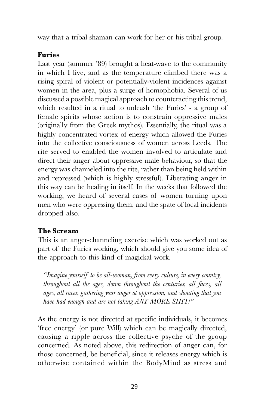way that a tribal shaman can work for her or his tribal group.

## Furies

Last year (summer '89) brought a heat-wave to the community in which I live, and as the temperature climbed there was a rising spiral of violent or potentially-violent incidences against women in the area, plus a surge of homophobia. Several of us discussed a possible magical approach to counteracting this trend, which resulted in a ritual to unleash 'the Furies' - a group of female spirits whose action is to constrain oppressive males (originally from the Greek mythos). Essentially, the ritual was a highly concentrated vortex of energy which allowed the Furies into the collective consciousness of women across Leeds. The rite served to enabled the women involved to articulate and direct their anger about oppressive male behaviour, so that the energy was channeled into the rite, rather than being held within and repressed (which is highly stressful). Liberating anger in this way can be healing in itself. In the weeks that followed the working, we heard of several cases of women turning upon men who were oppressing them, and the spate of local incidents dropped also.

#### The Scream

This is an anger-channeling exercise which was worked out as part of the Furies working, which should give you some idea of the approach to this kind of magickal work.

Imagine yourself to be all-woman, from every culture, in every country, throughout all the ages, down throughout the centuries, all faces, all ages, all races, gathering your anger at oppression, and shouting that you have had enough and are not taking ANY MORE SHIT!"

As the energy is not directed at specific individuals, it becomes free energy (or pure Will) which can be magically directed, causing a ripple across the collective psyche of the group concerned. As noted above, this redirection of anger can, for those concerned, be beneficial, since it releases energy which is otherwise contained within the BodyMind as stress and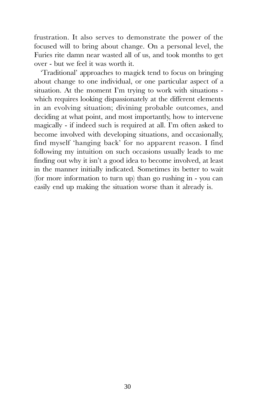frustration. It also serves to demonstrate the power of the focused will to bring about change. On a personal level, the Furies rite damn near wasted all of us, and took months to get over - but we feel it was worth it.

'Traditional' approaches to magick tend to focus on bringing about change to one individual, or one particular aspect of a situation. At the moment I'm trying to work with situations which requires looking dispassionately at the different elements in an evolving situation; divining probable outcomes, and deciding at what point, and most importantly, how to intervene magically - if indeed such is required at all. Im often asked to become involved with developing situations, and occasionally, find myself 'hanging back' for no apparent reason. I find following my intuition on such occasions usually leads to me finding out why it isn't a good idea to become involved, at least in the manner initially indicated. Sometimes its better to wait (for more information to turn up) than go rushing in - you can easily end up making the situation worse than it already is.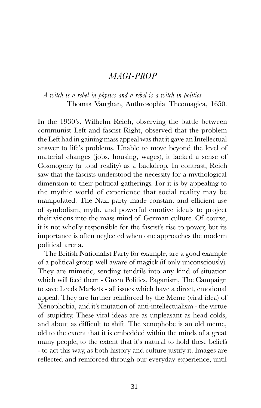#### MAGI-PROP

<span id="page-30-0"></span>A witch is a rebel in physics and a rebel is a witch in politics. Thomas Vaughan, Anthrosophia Theomagica, 1650.

In the 1930's, Wilhelm Reich, observing the battle between communist Left and fascist Right, observed that the problem the Left had in gaining mass appeal was that it gave an Intellectual answer to life's problems. Unable to move beyond the level of material changes (jobs, housing, wages), it lacked a sense of Cosmogeny (a total reality) as a backdrop. In contrast, Reich saw that the fascists understood the necessity for a mythological dimension to their political gatherings. For it is by appealing to the mythic world of experience that social reality may be manipulated. The Nazi party made constant and efficient use of symbolism, myth, and powerful emotive ideals to project their visions into the mass mind of German culture. Of course, it is not wholly responsible for the fascist's rise to power, but its importance is often neglected when one approaches the modern political arena.

The British Nationalist Party for example, are a good example of a political group well aware of magick (if only unconsciously). They are mimetic, sending tendrils into any kind of situation which will feed them - Green Politics, Paganism, The Campaign to save Leeds Markets - all issues which have a direct, emotional appeal. They are further reinforced by the Meme (viral idea) of Xenophobia, and it's mutation of anti-intellectualism - the virtue of stupidity. These viral ideas are as unpleasant as head colds, and about as difficult to shift. The xenophobe is an old meme, old to the extent that it is embedded within the minds of a great many people, to the extent that it's natural to hold these beliefs - to act this way, as both history and culture justify it. Images are reflected and reinforced through our everyday experience, until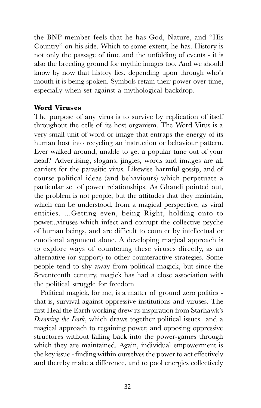the BNP member feels that he has God, Nature, and "His Country" on his side. Which to some extent, he has. History is not only the passage of time and the unfolding of events - it is also the breeding ground for mythic images too. And we should know by now that history lies, depending upon through who's mouth it is being spoken. Symbols retain their power over time, especially when set against a mythological backdrop.

#### Word Viruses

The purpose of any virus is to survive by replication of itself throughout the cells of its host organism. The Word Virus is a very small unit of word or image that entraps the energy of its human host into recycling an instruction or behaviour pattern. Ever walked around, unable to get a popular tune out of your head? Advertising, slogans, jingles, words and images are all carriers for the parasitic virus. Likewise harmful gossip, and of course political ideas (and behaviours) which perpetuate a particular set of power relationships. As Ghandi pointed out, the problem is not people, but the attitudes that they maintain, which can be understood, from a magical perspective, as viral entities. ...Getting even, being Right, holding onto to power...viruses which infect and corrupt the collective psyche of human beings, and are difficult to counter by intellectual or emotional argument alone. A developing magical approach is to explore ways of countering these viruses directly, as an alternative (or support) to other counteractive strategies. Some people tend to shy away from political magick, but since the Seventeenth century, magick has had a close association with the political struggle for freedom.

Political magick, for me, is a matter of ground zero politics that is, survival against oppressive institutions and viruses. The first Heal the Earth working drew its inspiration from Starhawk's Dreaming the Dark, which draws together political issues and a magical approach to regaining power, and opposing oppressive structures without falling back into the power-games through which they are maintained. Again, individual empowerment is the key issue - finding within ourselves the power to act effectively and thereby make a difference, and to pool energies collectively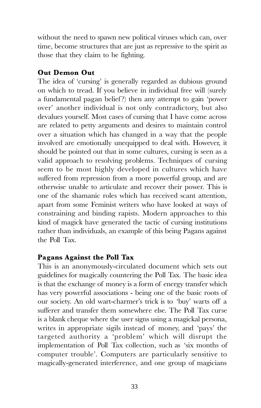without the need to spawn new political viruses which can, over time, become structures that are just as repressive to the spirit as those that they claim to be fighting.

#### Out Demon Out

The idea of 'cursing' is generally regarded as dubious ground on which to tread. If you believe in individual free will (surely a fundamental pagan belief?) then any attempt to gain 'power over' another individual is not only contradictory, but also devalues yourself. Most cases of cursing that I have come across are related to petty arguments and desires to maintain control over a situation which has changed in a way that the people involved are emotionally unequipped to deal with. However, it should be pointed out that in some cultures, cursing is seen as a valid approach to resolving problems. Techniques of cursing seem to be most highly developed in cultures which have suffered from repression from a more powerful group, and are otherwise unable to articulate and recover their power. This is one of the shamanic roles which has received scant attention, apart from some Feminist writers who have looked at ways of constraining and binding rapists. Modern approaches to this kind of magick have generated the tactic of cursing institutions rather than individuals, an example of this being Pagans against the Poll Tax.

#### Pagans Against the Poll Tax

This is an anonymously-circulated document which sets out guidelines for magically countering the Poll Tax. The basic idea is that the exchange of money is a form of energy transfer which has very powerful associations - being one of the basic roots of our society. An old wart-charmer's trick is to 'buy' warts off a sufferer and transfer them somewhere else. The Poll Tax curse is a blank cheque where the user signs using a magickal persona, writes in appropriate sigils instead of money, and 'pays' the targeted authority a 'problem' which will disrupt the implementation of Poll Tax collection, such as 'six months of computer trouble. Computers are particularly sensitive to magically-generated interference, and one group of magicians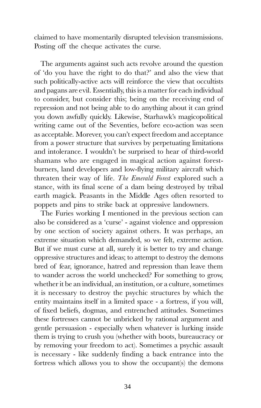claimed to have momentarily disrupted television transmissions. Posting off the cheque activates the curse.

The arguments against such acts revolve around the question of 'do you have the right to do that?' and also the view that such politically-active acts will reinforce the view that occultists and pagans are evil. Essentially, this is a matter for each individual to consider, but consider this; being on the receiving end of repression and not being able to do anything about it can grind you down awfully quickly. Likewise, Starhawk's magicopolitical writing came out of the Seventies, before eco-action was seen as acceptable. Morever, you can't expect freedom and acceptance from a power structure that survives by perpetuating limitations and intolerance. I wouldn't be surprised to hear of third-world shamans who are engaged in magical action against forestburners, land developers and low-flying military aircraft which threaten their way of life. The Emerald Forest explored such a stance, with its final scene of a dam being destroyed by tribal earth magick. Peasants in the Middle Ages often resorted to poppets and pins to strike back at oppressive landowners.

The Furies working I mentioned in the previous section can also be considered as a 'curse' - against violence and oppression by one section of society against others. It was perhaps, an extreme situation which demanded, so we felt, extreme action. But if we must curse at all, surely it is better to try and change oppressive structures and ideas; to attempt to destroy the demons bred of fear, ignorance, hatred and repression than leave them to wander across the world unchecked? For something to grow, whether it be an individual, an institution, or a culture, sometimes it is necessary to destroy the psychic structures by which the entity maintains itself in a limited space - a fortress, if you will, of fixed beliefs, dogmas, and entrenched attitudes. Sometimes these fortresses cannot be unbricked by rational argument and gentle persuasion - especially when whatever is lurking inside them is trying to crush you (whether with boots, bureaucracy or by removing your freedom to act). Sometimes a psychic assault is necessary - like suddenly finding a back entrance into the fortress which allows you to show the occupant(s) the demons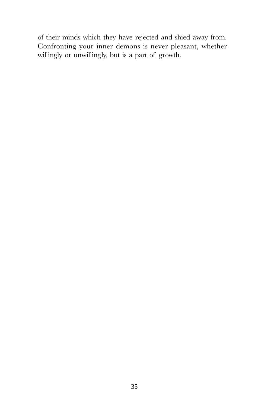of their minds which they have rejected and shied away from. Confronting your inner demons is never pleasant, whether willingly or unwillingly, but is a part of growth.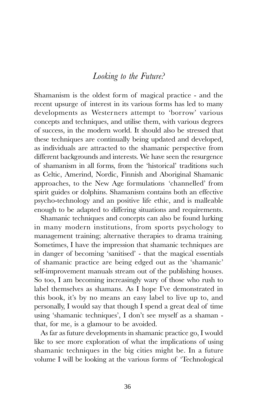## Looking to the Future?

<span id="page-35-0"></span>Shamanism is the oldest form of magical practice - and the recent upsurge of interest in its various forms has led to many developments as Westerners attempt to 'borrow' various concepts and techniques, and utilise them, with various degrees of success, in the modern world. It should also be stressed that these techniques are continually being updated and developed, as individuals are attracted to the shamanic perspective from different backgrounds and interests. We have seen the resurgence of shamanism in all forms, from the 'historical' traditions such as Celtic, Amerind, Nordic, Finnish and Aboriginal Shamanic approaches, to the New Age formulations 'channelled' from spirit guides or dolphins. Shamanism contains both an effective psycho-technology and an positive life ethic, and is malleable enough to be adapted to differing situations and requirements.

Shamanic techniques and concepts can also be found lurking in many modern institutions, from sports psychology to management training; alternative therapies to drama training. Sometimes, I have the impression that shamanic techniques are in danger of becoming 'sanitised' - that the magical essentials of shamanic practice are being edged out as the 'shamanic' self-improvement manuals stream out of the publishing houses. So too, I am becoming increasingly wary of those who rush to label themselves as shamans. As I hope Ive demonstrated in this book, it's by no means an easy label to live up to, and personally, I would say that though I spend a great deal of time using 'shamanic techniques', I don't see myself as a shaman that, for me, is a glamour to be avoided.

As far as future developments in shamanic practice go, I would like to see more exploration of what the implications of using shamanic techniques in the big cities might be. In a future volume I will be looking at the various forms of Technological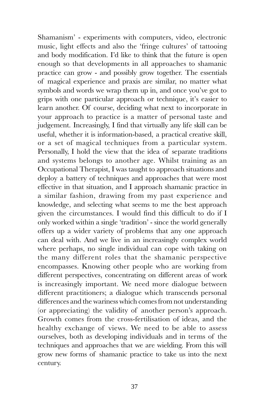Shamanism' - experiments with computers, video, electronic music, light effects and also the 'fringe cultures' of tattooing and body modification. Id like to think that the future is open enough so that developments in all approaches to shamanic practice can grow - and possibly grow together. The essentials of magical experience and praxis are similar, no matter what symbols and words we wrap them up in, and once you've got to grips with one particular approach or technique, it's easier to learn another. Of course, deciding what next to incorporate in your approach to practice is a matter of personal taste and judgement. Increasingly, I find that virtually any life skill can be useful, whether it is information-based, a practical creative skill, or a set of magical techniques from a particular system. Personally, I hold the view that the idea of separate traditions and systems belongs to another age. Whilst training as an Occupational Therapist, I was taught to approach situations and deploy a battery of techniques and approaches that were most effective in that situation, and I approach shamanic practice in a similar fashion, drawing from my past experience and knowledge, and selecting what seems to me the best approach given the circumstances. I would find this difficult to do if I only worked within a single 'tradition' - since the world generally offers up a wider variety of problems that any one approach can deal with. And we live in an increasingly complex world where perhaps, no single individual can cope with taking on the many different roles that the shamanic perspective encompasses. Knowing other people who are working from different perspectives, concentrating on different areas of work is increasingly important. We need more dialogue between different practitioners; a dialogue which transcends personal differences and the wariness which comes from not understanding (or appreciating) the validity of another person's approach. Growth comes from the cross-fertilisation of ideas, and the healthy exchange of views. We need to be able to assess ourselves, both as developing individuals and in terms of the techniques and approaches that we are wielding. From this will grow new forms of shamanic practice to take us into the next century.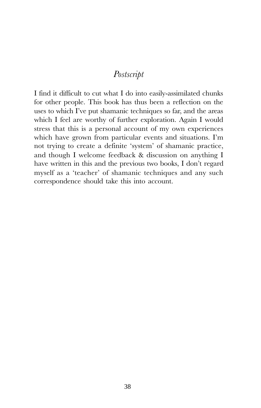## Postscript

<span id="page-37-0"></span>I find it difficult to cut what I do into easily-assimilated chunks for other people. This book has thus been a reflection on the uses to which Ive put shamanic techniques so far, and the areas which I feel are worthy of further exploration. Again I would stress that this is a personal account of my own experiences which have grown from particular events and situations. I'm not trying to create a definite 'system' of shamanic practice, and though I welcome feedback & discussion on anything I have written in this and the previous two books, I don't regard myself as a 'teacher' of shamanic techniques and any such correspondence should take this into account.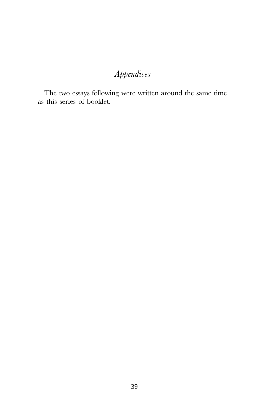# Appendices

The two essays following were written around the same time as this series of booklet.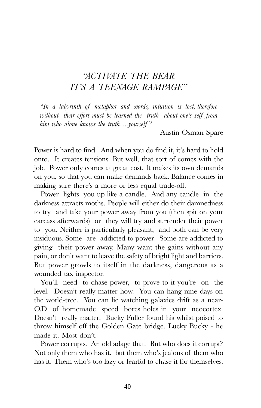# <span id="page-39-0"></span>ACTIVATE THE BEAR ITS A TEENAGE RAMPAGE

In a labyrinth of metaphor and words, intuition is lost, therefore without their effort must be learned the truth about one's self from him who alone knows the truth.....yourself."

Austin Osman Spare

Power is hard to find. And when you do find it, it's hard to hold onto. It creates tensions. But well, that sort of comes with the job. Power only comes at great cost. It makes its own demands on you, so that you can make demands back. Balance comes in making sure there's a more or less equal trade-off.

Power lights you up like a candle. And any candle in the darkness attracts moths. People will either do their damnedness to try and take your power away from you (then spit on your carcass afterwards) or they will try and surrender their power to you. Neither is particularly pleasant, and both can be very insiduous. Some are addicted to power. Some are addicted to giving their power away. Many want the gains without any pain, or don't want to leave the safety of bright light and barriers. But power growls to itself in the darkness, dangerous as a wounded tax inspector.

You'll need to chase power, to prove to it you're on the level. Doesn't really matter how. You can hang nine days on the world-tree. You can lie watching galaxies drift as a near-O.D of homemade speed bores holes in your neocortex. Doesn't really matter. Bucky Fuller found his whilst poised to throw himself off the Golden Gate bridge. Lucky Bucky - he made it. Most don't.

Power corrupts. An old adage that. But who does it corrupt? Not only them who has it, but them who's jealous of them who has it. Them who's too lazy or fearful to chase it for themselves.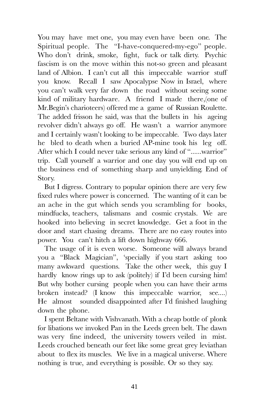You may have met one, you may even have been one. The Spiritual people. The "I-have-conquered-my-ego" people. Who don't drink, smoke, fight, fuck or talk dirty. Psychic fascism is on the move within this not-so green and pleasant land of Albion. I can't cut all this impeccable warrior stuff you know. Recall I saw Apocalypse Now in Israel, where you can't walk very far down the road without seeing some kind of military hardware. A friend I made there,(one of Mr.Begin's charioteers) offered me a game of Russian Roulette. The added frisson he said, was that the bullets in his ageing revolver didn't always go off. He wasn't a warrior anymore and I certainly wasn't looking to be impeccable. Two days later he bled to death when a buried AP-mine took his leg off. After which I could never take serious any kind of "......warrior" trip. Call yourself a warrior and one day you will end up on the business end of something sharp and unyielding. End of Story.

But I digress. Contrary to popular opinion there are very few fixed rules where power is concerned. The wanting of it can be an ache in the gut which sends you scrambling for books, mindfucks, teachers, talismans and cosmic crystals. We are hooked into believing in secret knowledge. Get a foot in the door and start chasing dreams. There are no easy routes into power. You can't hitch a lift down highway 666.

The usage of it is even worse. Someone will always brand you a "Black Magician", 'specially if you start asking too many awkward questions. Take the other week, this guy I hardly know rings up to ask (politely) if I'd been cursing him! But why bother cursing people when you can have their arms broken instead? (I know this impeccable warrior, see....) He almost sounded disappointed after Id finished laughing down the phone.

I spent Beltane with Vishvanath. With a cheap bottle of plonk for libations we invoked Pan in the Leeds green belt. The dawn was very fine indeed, the university towers veiled in mist. Leeds crouched beneath our feet like some great grey leviathan about to flex its muscles. We live in a magical universe. Where nothing is true, and everything is possible. Or so they say.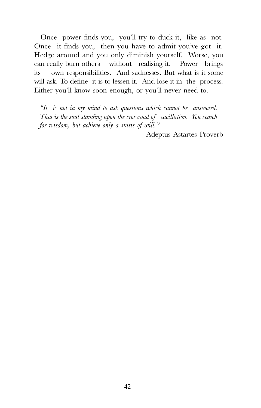Once power finds you, you'll try to duck it, like as not. Once it finds you, then you have to admit you've got it. Hedge around and you only diminish yourself. Worse, you can really burn others without realising it. Power brings its own responsibilities. And sadnesses. But what is it some will ask. To define it is to lessen it. And lose it in the process. Either you'll know soon enough, or you'll never need to.

 $H$  is not in my mind to ask questions which cannot be answered. That is the soul standing upon the crossroad of vacillation. You search for wisdom, but achieve only a stasis of will."

Adeptus Astartes Proverb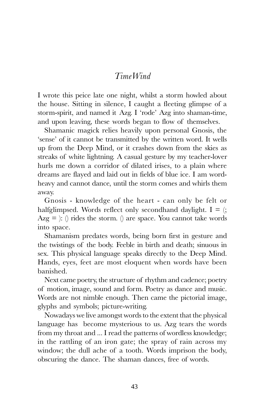## TimeWind

<span id="page-42-0"></span>I wrote this peice late one night, whilst a storm howled about the house. Sitting in silence, I caught a fleeting glimpse of a storm-spirit, and named it Azg. I 'rode' Azg into shaman-time, and upon leaving, these words began to flow of themselves.

Shamanic magick relies heavily upon personal Gnosis, the 'sense' of it cannot be transmitted by the written word. It wells up from the Deep Mind, or it crashes down from the skies as streaks of white lightning. A casual gesture by my teacher-lover hurls me down a corridor of dilated irises, to a plain where dreams are flayed and laid out in fields of blue ice. I am wordheavy and cannot dance, until the storm comes and whirls them away.

Gnosis - knowledge of the heart - can only be felt or halfglimpsed. Words reflect only secondhand daylight.  $I =$  (;  $Azg =$  : () rides the storm. () are space. You cannot take words into space.

Shamanism predates words, being born first in gesture and the twistings of the body. Feeble in birth and death; sinuous in sex. This physical language speaks directly to the Deep Mind. Hands, eyes, feet are most eloquent when words have been banished.

Next came poetry, the structure of rhythm and cadence; poetry of motion, image, sound and form. Poetry as dance and music. Words are not nimble enough. Then came the pictorial image, glyphs and symbols; picture-writing.

Nowadays we live amongst words to the extent that the physical language has become mysterious to us. Azg tears the words from my throat and ... I read the patterns of wordless knowledge; in the rattling of an iron gate; the spray of rain across my window; the dull ache of a tooth. Words imprison the body, obscuring the dance. The shaman dances, free of words.